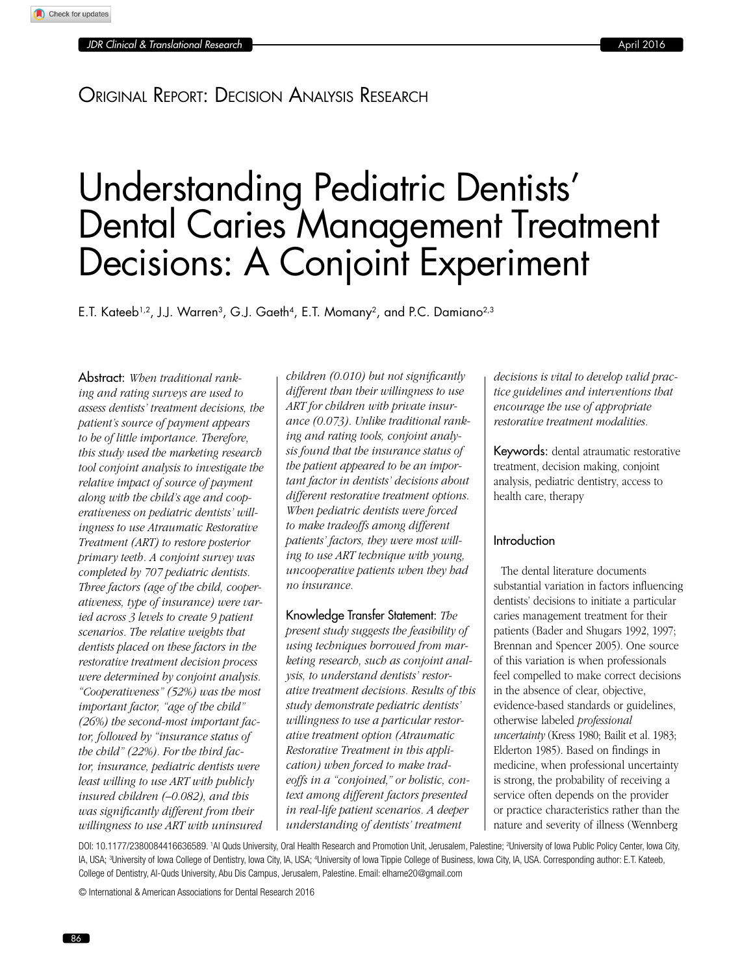# Original Report: Decision Analysis Research

# Understanding Pediatric Dentists' Dental Caries Management Treatment Decisions: A Conjoint Experiment

E.T. Kateeb<sup>1,2</sup>, J.J. Warren<sup>3</sup>, G.J. Gaeth<sup>4</sup>, E.T. Momany<sup>2</sup>, and P.C. Damiano<sup>2,3</sup>

Abstract: *When traditional ranking and rating surveys are used to assess dentists' treatment decisions, the patient's source of payment appears to be of little importance. Therefore, this study used the marketing research tool conjoint analysis to investigate the relative impact of source of payment along with the child's age and cooperativeness on pediatric dentists' willingness to use Atraumatic Restorative Treatment (ART) to restore posterior primary teeth. A conjoint survey was completed by 707 pediatric dentists. Three factors (age of the child, cooperativeness, type of insurance) were varied across 3 levels to create 9 patient scenarios. The relative weights that dentists placed on these factors in the restorative treatment decision process were determined by conjoint analysis. "Cooperativeness" (52%) was the most important factor, "age of the child" (26%) the second-most important factor, followed by "insurance status of the child" (22%). For the third factor, insurance, pediatric dentists were least willing to use ART with publicly insured children (–0.082), and this was significantly different from their willingness to use ART with uninsured* 

*children (0.010) but not significantly different than their willingness to use ART for children with private insurance (0.073). Unlike traditional ranking and rating tools, conjoint analysis found that the insurance status of the patient appeared to be an important factor in dentists' decisions about different restorative treatment options. When pediatric dentists were forced to make tradeoffs among different patients' factors, they were most willing to use ART technique with young, uncooperative patients when they had no insurance.*

Knowledge Transfer Statement: *The present study suggests the feasibility of using techniques borrowed from marketing research, such as conjoint analysis, to understand dentists' restorative treatment decisions. Results of this study demonstrate pediatric dentists' willingness to use a particular restorative treatment option (Atraumatic Restorative Treatment in this application) when forced to make tradeoffs in a "conjoined," or holistic, context among different factors presented in real-life patient scenarios. A deeper understanding of dentists' treatment* 

*decisions is vital to develop valid practice guidelines and interventions that encourage the use of appropriate restorative treatment modalities.*

Keywords: dental atraumatic restorative treatment, decision making, conjoint analysis, pediatric dentistry, access to health care, therapy

# Introduction

The dental literature documents substantial variation in factors influencing dentists' decisions to initiate a particular caries management treatment for their patients (Bader and Shugars 1992, 1997; Brennan and Spencer 2005). One source of this variation is when professionals feel compelled to make correct decisions in the absence of clear, objective, evidence-based standards or guidelines, otherwise labeled *professional uncertainty* (Kress 1980; Bailit et al. 1983; Elderton 1985). Based on findings in medicine, when professional uncertainty is strong, the probability of receiving a service often depends on the provider or practice characteristics rather than the nature and severity of illness (Wennberg

DOI: 10.1177/2380084416636589. <sup>1</sup>Al Quds University, Oral Health Research and Promotion Unit, Jerusalem, Palestine; <sup>2</sup>University of Iowa Public Policy Center, Iowa City, IA, USA; <sup>3</sup>University of Iowa College of Dentistry, Iowa City, IA, USA; <sup>4</sup>University of Iowa Tippie College of Business, Iowa City, IA, USA. Corresponding author: E.T. Kateeb, College of Dentistry, Al-Quds University, Abu Dis Campus, Jerusalem, Palestine. Email: elhame20@gmail.com

© International & American Associations for Dental Research 2016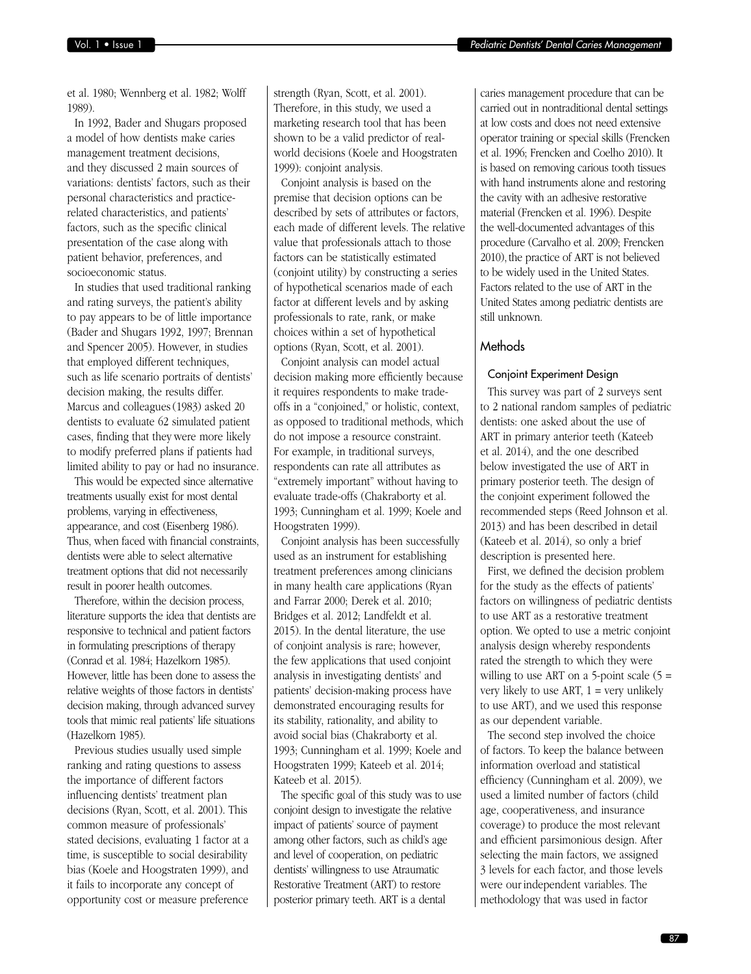et al. 1980; Wennberg et al. 1982; Wolff 1989).

In 1992, Bader and Shugars proposed a model of how dentists make caries management treatment decisions, and they discussed 2 main sources of variations: dentists' factors, such as their personal characteristics and practicerelated characteristics, and patients' factors, such as the specific clinical presentation of the case along with patient behavior, preferences, and socioeconomic status.

In studies that used traditional ranking and rating surveys, the patient's ability to pay appears to be of little importance (Bader and Shugars 1992, 1997; Brennan and Spencer 2005). However, in studies that employed different techniques, such as life scenario portraits of dentists' decision making, the results differ. Marcus and colleagues (1983) asked 20 dentists to evaluate 62 simulated patient cases, finding that they were more likely to modify preferred plans if patients had limited ability to pay or had no insurance.

This would be expected since alternative treatments usually exist for most dental problems, varying in effectiveness, appearance, and cost (Eisenberg 1986). Thus, when faced with financial constraints, dentists were able to select alternative treatment options that did not necessarily result in poorer health outcomes.

Therefore, within the decision process, literature supports the idea that dentists are responsive to technical and patient factors in formulating prescriptions of therapy (Conrad et al. 1984; Hazelkorn 1985). However, little has been done to assess the relative weights of those factors in dentists' decision making, through advanced survey tools that mimic real patients' life situations (Hazelkorn 1985).

Previous studies usually used simple ranking and rating questions to assess the importance of different factors influencing dentists' treatment plan decisions (Ryan, Scott, et al. 2001). This common measure of professionals' stated decisions, evaluating 1 factor at a time, is susceptible to social desirability bias (Koele and Hoogstraten 1999), and it fails to incorporate any concept of opportunity cost or measure preference strength (Ryan, Scott, et al. 2001). Therefore, in this study, we used a marketing research tool that has been shown to be a valid predictor of realworld decisions (Koele and Hoogstraten 1999): conjoint analysis.

Conjoint analysis is based on the premise that decision options can be described by sets of attributes or factors, each made of different levels. The relative value that professionals attach to those factors can be statistically estimated (conjoint utility) by constructing a series of hypothetical scenarios made of each factor at different levels and by asking professionals to rate, rank, or make choices within a set of hypothetical options (Ryan, Scott, et al. 2001).

Conjoint analysis can model actual decision making more efficiently because it requires respondents to make tradeoffs in a "conjoined," or holistic, context, as opposed to traditional methods, which do not impose a resource constraint. For example, in traditional surveys, respondents can rate all attributes as "extremely important" without having to evaluate trade-offs (Chakraborty et al. 1993; Cunningham et al. 1999; Koele and Hoogstraten 1999).

Conjoint analysis has been successfully used as an instrument for establishing treatment preferences among clinicians in many health care applications (Ryan and Farrar 2000; Derek et al. 2010; Bridges et al. 2012; Landfeldt et al. 2015). In the dental literature, the use of conjoint analysis is rare; however, the few applications that used conjoint analysis in investigating dentists' and patients' decision-making process have demonstrated encouraging results for its stability, rationality, and ability to avoid social bias (Chakraborty et al. 1993; Cunningham et al. 1999; Koele and Hoogstraten 1999; Kateeb et al. 2014; Kateeb et al. 2015).

The specific goal of this study was to use conjoint design to investigate the relative impact of patients' source of payment among other factors, such as child's age and level of cooperation, on pediatric dentists' willingness to use Atraumatic Restorative Treatment (ART) to restore posterior primary teeth. ART is a dental

caries management procedure that can be carried out in nontraditional dental settings at low costs and does not need extensive operator training or special skills (Frencken et al. 1996; Frencken and Coelho 2010). It is based on removing carious tooth tissues with hand instruments alone and restoring the cavity with an adhesive restorative material (Frencken et al. 1996). Despite the well-documented advantages of this procedure (Carvalho et al. 2009; Frencken 2010), the practice of ART is not believed to be widely used in the United States. Factors related to the use of ART in the United States among pediatric dentists are still unknown.

# Methods

#### Conjoint Experiment Design

This survey was part of 2 surveys sent to 2 national random samples of pediatric dentists: one asked about the use of ART in primary anterior teeth (Kateeb et al. 2014), and the one described below investigated the use of ART in primary posterior teeth. The design of the conjoint experiment followed the recommended steps (Reed Johnson et al. 2013) and has been described in detail (Kateeb et al. 2014), so only a brief description is presented here.

First, we defined the decision problem for the study as the effects of patients' factors on willingness of pediatric dentists to use ART as a restorative treatment option. We opted to use a metric conjoint analysis design whereby respondents rated the strength to which they were willing to use ART on a 5-point scale  $(5 =$ very likely to use ART,  $1 = \text{very unlikely}$ to use ART), and we used this response as our dependent variable.

The second step involved the choice of factors. To keep the balance between information overload and statistical efficiency (Cunningham et al. 2009), we used a limited number of factors (child age, cooperativeness, and insurance coverage) to produce the most relevant and efficient parsimonious design. After selecting the main factors, we assigned 3 levels for each factor, and those levels were our independent variables. The methodology that was used in factor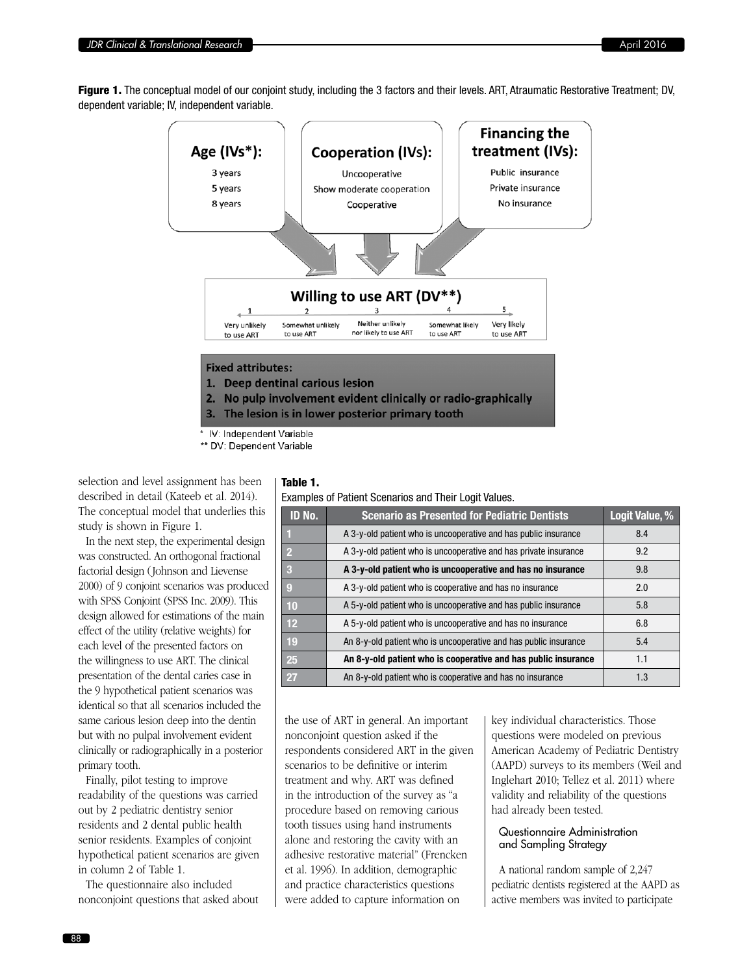Figure 1. The conceptual model of our conjoint study, including the 3 factors and their levels. ART, Atraumatic Restorative Treatment; DV, dependent variable; IV, independent variable.



3. The lesion is in lower posterior primary tooth

IV: Independent Variable

\*\* DV: Dependent Variable

selection and level assignment has been described in detail (Kateeb et al. 2014). The conceptual model that underlies this study is shown in Figure 1.

In the next step, the experimental design was constructed. An orthogonal fractional factorial design (Johnson and Lievense 2000) of 9 conjoint scenarios was produced with SPSS Conjoint (SPSS Inc. 2009). This design allowed for estimations of the main effect of the utility (relative weights) for each level of the presented factors on the willingness to use ART. The clinical presentation of the dental caries case in the 9 hypothetical patient scenarios was identical so that all scenarios included the same carious lesion deep into the dentin but with no pulpal involvement evident clinically or radiographically in a posterior primary tooth.

Finally, pilot testing to improve readability of the questions was carried out by 2 pediatric dentistry senior residents and 2 dental public health senior residents. Examples of conjoint hypothetical patient scenarios are given in column 2 of Table 1.

The questionnaire also included nonconjoint questions that asked about

# Table 1.

Examples of Patient Scenarios and Their Logit Values.

| ID No.          | <b>Scenario as Presented for Pediatric Dentists</b>              | Logit Value, % |
|-----------------|------------------------------------------------------------------|----------------|
|                 | A 3-y-old patient who is uncooperative and has public insurance  | 8.4            |
| $\overline{2}$  | A 3-y-old patient who is uncooperative and has private insurance | 9.2            |
| -3              | A 3-y-old patient who is uncooperative and has no insurance      | 9.8            |
| 9               | A 3-y-old patient who is cooperative and has no insurance        | 2.0            |
| 10              | A 5-y-old patient who is uncooperative and has public insurance  | 5.8            |
| 12 <sup>2</sup> | A 5-y-old patient who is uncooperative and has no insurance      | 6.8            |
| 19              | An 8-y-old patient who is uncooperative and has public insurance | 5.4            |
| 25              | An 8-y-old patient who is cooperative and has public insurance   | 1.1            |
| 27              | An 8-y-old patient who is cooperative and has no insurance       | 1.3            |

the use of ART in general. An important nonconjoint question asked if the respondents considered ART in the given scenarios to be definitive or interim treatment and why. ART was defined in the introduction of the survey as "a procedure based on removing carious tooth tissues using hand instruments alone and restoring the cavity with an adhesive restorative material" (Frencken et al. 1996). In addition, demographic and practice characteristics questions were added to capture information on

key individual characteristics. Those questions were modeled on previous American Academy of Pediatric Dentistry (AAPD) surveys to its members (Weil and Inglehart 2010; Tellez et al. 2011) where validity and reliability of the questions had already been tested.

# Questionnaire Administration and Sampling Strategy

A national random sample of 2,247 pediatric dentists registered at the AAPD as active members was invited to participate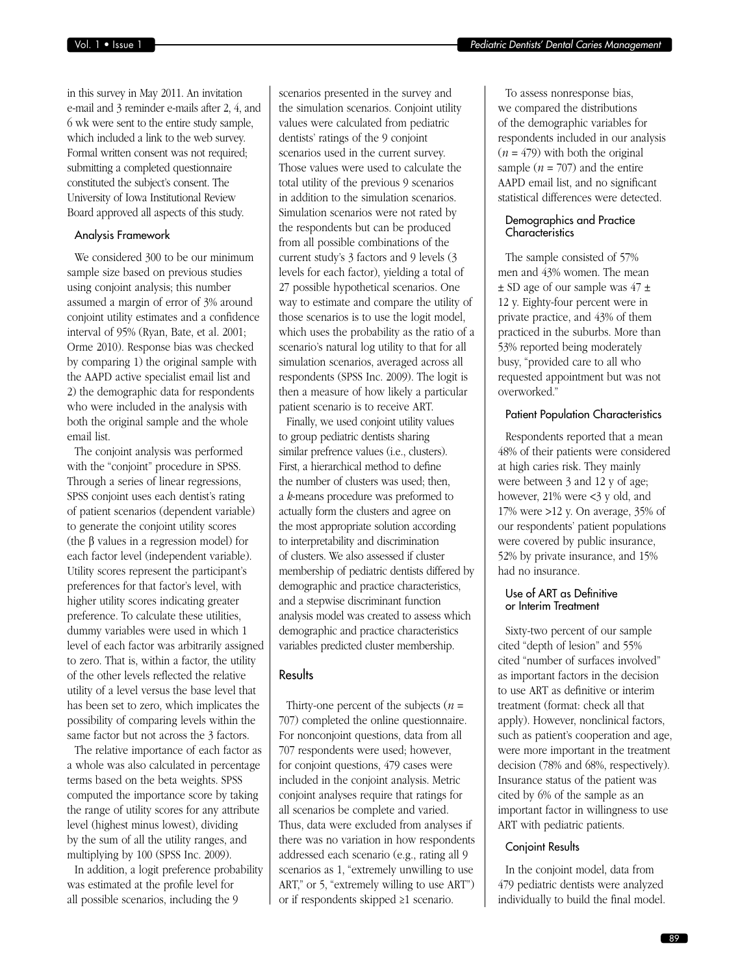in this survey in May 2011. An invitation e-mail and 3 reminder e-mails after 2, 4, and 6 wk were sent to the entire study sample, which included a link to the web survey. Formal written consent was not required; submitting a completed questionnaire constituted the subject's consent. The University of Iowa Institutional Review Board approved all aspects of this study.

#### Analysis Framework

We considered 300 to be our minimum sample size based on previous studies using conjoint analysis; this number assumed a margin of error of 3% around conjoint utility estimates and a confidence interval of 95% (Ryan, Bate, et al. 2001; Orme 2010). Response bias was checked by comparing 1) the original sample with the AAPD active specialist email list and 2) the demographic data for respondents who were included in the analysis with both the original sample and the whole email list.

The conjoint analysis was performed with the "conjoint" procedure in SPSS. Through a series of linear regressions, SPSS conjoint uses each dentist's rating of patient scenarios (dependent variable) to generate the conjoint utility scores (the β values in a regression model) for each factor level (independent variable). Utility scores represent the participant's preferences for that factor's level, with higher utility scores indicating greater preference. To calculate these utilities, dummy variables were used in which 1 level of each factor was arbitrarily assigned to zero. That is, within a factor, the utility of the other levels reflected the relative utility of a level versus the base level that has been set to zero, which implicates the possibility of comparing levels within the same factor but not across the 3 factors.

The relative importance of each factor as a whole was also calculated in percentage terms based on the beta weights. SPSS computed the importance score by taking the range of utility scores for any attribute level (highest minus lowest), dividing by the sum of all the utility ranges, and multiplying by 100 (SPSS Inc. 2009).

In addition, a logit preference probability was estimated at the profile level for all possible scenarios, including the 9

scenarios presented in the survey and the simulation scenarios. Conjoint utility values were calculated from pediatric dentists' ratings of the 9 conjoint scenarios used in the current survey. Those values were used to calculate the total utility of the previous 9 scenarios in addition to the simulation scenarios. Simulation scenarios were not rated by the respondents but can be produced from all possible combinations of the current study's 3 factors and 9 levels (3 levels for each factor), yielding a total of 27 possible hypothetical scenarios. One way to estimate and compare the utility of those scenarios is to use the logit model, which uses the probability as the ratio of a scenario's natural log utility to that for all simulation scenarios, averaged across all respondents (SPSS Inc. 2009). The logit is then a measure of how likely a particular patient scenario is to receive ART.

Finally, we used conjoint utility values to group pediatric dentists sharing similar prefrence values (i.e., clusters). First, a hierarchical method to define the number of clusters was used; then, a *k*-means procedure was preformed to actually form the clusters and agree on the most appropriate solution according to interpretability and discrimination of clusters. We also assessed if cluster membership of pediatric dentists differed by demographic and practice characteristics, and a stepwise discriminant function analysis model was created to assess which demographic and practice characteristics variables predicted cluster membership.

# **Results**

Thirty-one percent of the subjects  $(n =$ 707) completed the online questionnaire. For nonconjoint questions, data from all 707 respondents were used; however, for conjoint questions, 479 cases were included in the conjoint analysis. Metric conjoint analyses require that ratings for all scenarios be complete and varied. Thus, data were excluded from analyses if there was no variation in how respondents addressed each scenario (e.g., rating all 9 scenarios as 1, "extremely unwilling to use ART," or 5, "extremely willing to use ART") or if respondents skipped ≥1 scenario.

To assess nonresponse bias, we compared the distributions of the demographic variables for respondents included in our analysis  $(n = 479)$  with both the original sample  $(n = 707)$  and the entire AAPD email list, and no significant statistical differences were detected.

# Demographics and Practice **Characteristics**

The sample consisted of 57% men and 43% women. The mean  $\pm$  SD age of our sample was 47  $\pm$ 12 y. Eighty-four percent were in private practice, and 43% of them practiced in the suburbs. More than 53% reported being moderately busy, "provided care to all who requested appointment but was not overworked."

# Patient Population Characteristics

Respondents reported that a mean 48% of their patients were considered at high caries risk. They mainly were between 3 and 12 y of age; however, 21% were <3 y old, and 17% were >12 y. On average, 35% of our respondents' patient populations were covered by public insurance, 52% by private insurance, and 15% had no insurance.

# Use of ART as Definitive or Interim Treatment

Sixty-two percent of our sample cited "depth of lesion" and 55% cited "number of surfaces involved" as important factors in the decision to use ART as definitive or interim treatment (format: check all that apply). However, nonclinical factors, such as patient's cooperation and age, were more important in the treatment decision (78% and 68%, respectively). Insurance status of the patient was cited by 6% of the sample as an important factor in willingness to use ART with pediatric patients.

#### Conjoint Results

In the conjoint model, data from 479 pediatric dentists were analyzed individually to build the final model.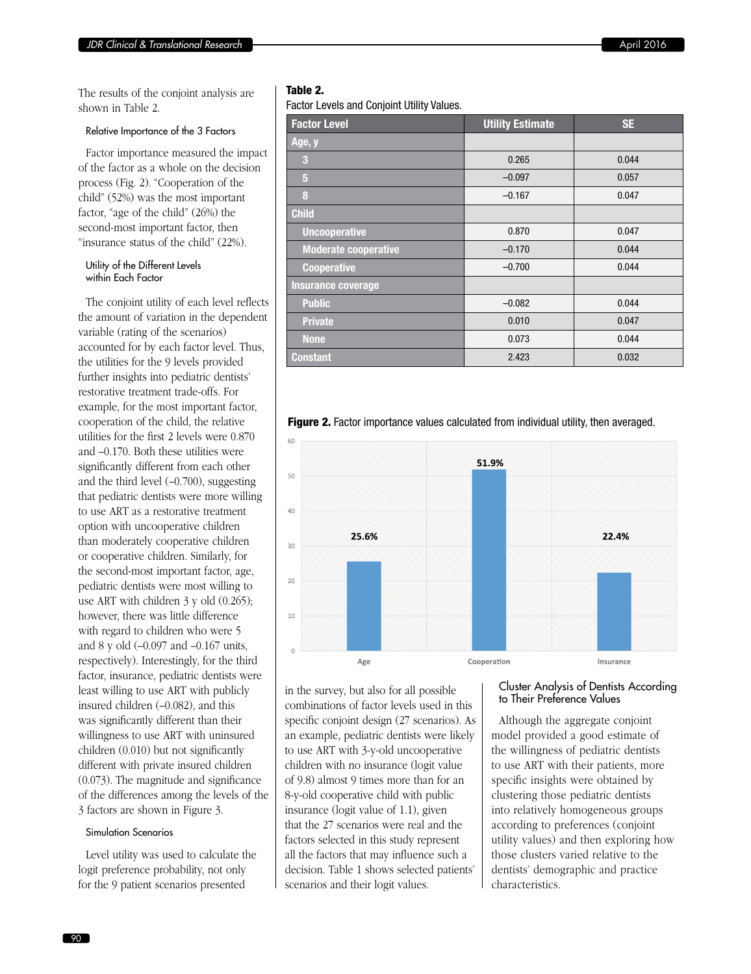The results of the conjoint analysis are shown in Table 2.

## Relative Importance of the 3 Factors

Factor importance measured the impact of the factor as a whole on the decision process (Fig. 2). "Cooperation of the child" (52%) was the most important factor, "age of the child" (26%) the second-most important factor, then "insurance status of the child" (22%).

#### Utility of the Different Levels within Each Factor

The conjoint utility of each level reflects the amount of variation in the dependent variable (rating of the scenarios) accounted for by each factor level. Thus, the utilities for the 9 levels provided further insights into pediatric dentists' restorative treatment trade-offs. For example, for the most important factor, cooperation of the child, the relative utilities for the first 2 levels were 0.870 and –0.170. Both these utilities were significantly different from each other and the third level (–0.700), suggesting that pediatric dentists were more willing to use ART as a restorative treatment option with uncooperative children than moderately cooperative children or cooperative children. Similarly, for the second-most important factor, age, pediatric dentists were most willing to use ART with children 3 y old (0.265); however, there was little difference with regard to children who were 5 and 8 y old (–0.097 and –0.167 units, respectively). Interestingly, for the third factor, insurance, pediatric dentists were least willing to use ART with publicly insured children (–0.082), and this was significantly different than their willingness to use ART with uninsured children (0.010) but not significantly different with private insured children (0.073). The magnitude and significance of the differences among the levels of the 3 factors are shown in Figure 3.

# Simulation Scenarios

Level utility was used to calculate the logit preference probability, not only for the 9 patient scenarios presented

# Table 2.

Factor Levels and Conjoint Utility Values.

| <b>Factor Level</b>         | <b>Utility Estimate</b> | <b>SE</b> |
|-----------------------------|-------------------------|-----------|
| Age, y                      |                         |           |
| 3                           | 0.265                   | 0.044     |
| $\sqrt{5}$                  | $-0.097$                | 0.057     |
| 8                           | $-0.167$                | 0.047     |
| <b>Child</b>                |                         |           |
| <b>Uncooperative</b>        | 0.870                   | 0.047     |
| <b>Moderate cooperative</b> | $-0.170$                | 0.044     |
| <b>Cooperative</b>          | $-0.700$                | 0.044     |
| Insurance coverage          |                         |           |
| <b>Public</b>               | $-0.082$                | 0.044     |
| <b>Private</b>              | 0.010                   | 0.047     |
| <b>None</b>                 | 0.073                   | 0.044     |
| <b>Constant</b>             | 2.423                   | 0.032     |

Figure 2. Factor importance values calculated from individual utility, then averaged.



in the survey, but also for all possible combinations of factor levels used in this specific conjoint design (27 scenarios). As an example, pediatric dentists were likely to use ART with 3-y-old uncooperative children with no insurance (logit value of 9.8) almost 9 times more than for an 8-y-old cooperative child with public insurance (logit value of 1.1), given that the 27 scenarios were real and the factors selected in this study represent all the factors that may influence such a decision. Table 1 shows selected patients' scenarios and their logit values.

#### Cluster Analysis of Dentists According to Their Preference Values

Although the aggregate conjoint model provided a good estimate of the willingness of pediatric dentists to use ART with their patients, more specific insights were obtained by clustering those pediatric dentists into relatively homogeneous groups according to preferences (conjoint utility values) and then exploring how those clusters varied relative to the dentists' demographic and practice characteristics.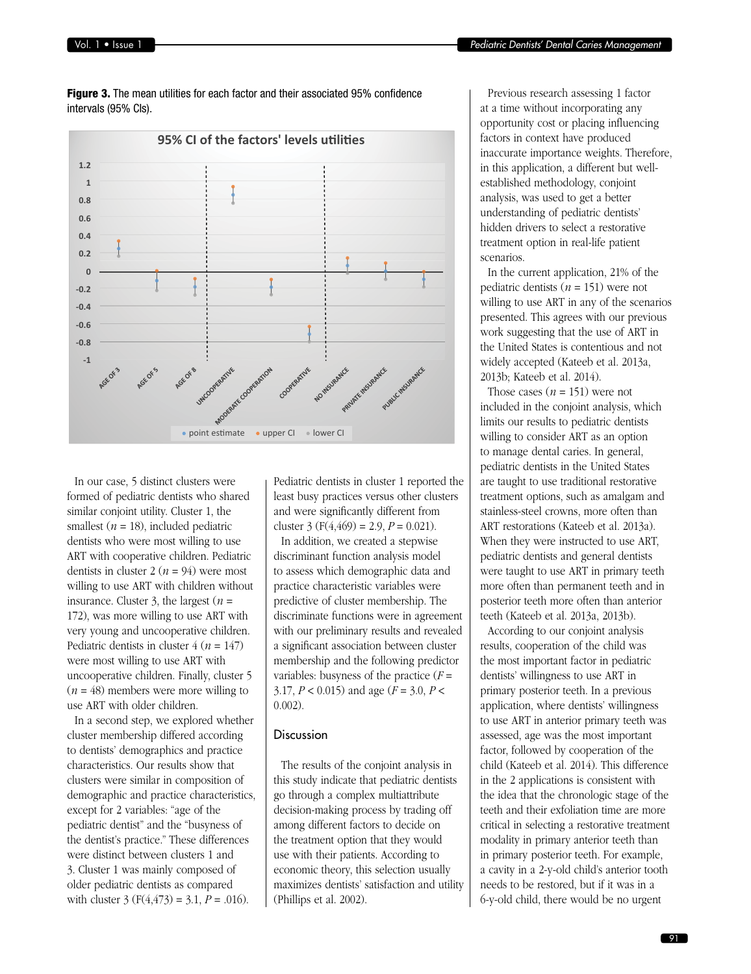

**Figure 3.** The mean utilities for each factor and their associated 95% confidence intervals (95% CIs).

In our case, 5 distinct clusters were formed of pediatric dentists who shared similar conjoint utility. Cluster 1, the smallest  $(n = 18)$ , included pediatric dentists who were most willing to use ART with cooperative children. Pediatric dentists in cluster  $2(n = 94)$  were most willing to use ART with children without insurance. Cluster 3, the largest  $(n =$ 172), was more willing to use ART with very young and uncooperative children. Pediatric dentists in cluster  $4 (n = 147)$ were most willing to use ART with uncooperative children. Finally, cluster 5  $(n = 48)$  members were more willing to use ART with older children.

In a second step, we explored whether cluster membership differed according to dentists' demographics and practice characteristics. Our results show that clusters were similar in composition of demographic and practice characteristics, except for 2 variables: "age of the pediatric dentist" and the "busyness of the dentist's practice." These differences were distinct between clusters 1 and 3. Cluster 1 was mainly composed of older pediatric dentists as compared with cluster  $3 (F(4, 473) = 3.1, P = .016)$ .

Pediatric dentists in cluster 1 reported the least busy practices versus other clusters and were significantly different from cluster 3 ( $F(4,469) = 2.9$ ,  $P = 0.021$ ).

In addition, we created a stepwise discriminant function analysis model to assess which demographic data and practice characteristic variables were predictive of cluster membership. The discriminate functions were in agreement with our preliminary results and revealed a significant association between cluster membership and the following predictor variables: busyness of the practice  $(F =$ 3.17, *P* < 0.015) and age (*F* = 3.0, *P* < 0.002).

# Discussion

The results of the conjoint analysis in this study indicate that pediatric dentists go through a complex multiattribute decision-making process by trading off among different factors to decide on the treatment option that they would use with their patients. According to economic theory, this selection usually maximizes dentists' satisfaction and utility (Phillips et al. 2002).

Previous research assessing 1 factor at a time without incorporating any opportunity cost or placing influencing factors in context have produced inaccurate importance weights. Therefore, in this application, a different but wellestablished methodology, conjoint analysis, was used to get a better understanding of pediatric dentists' hidden drivers to select a restorative treatment option in real-life patient scenarios.

In the current application, 21% of the pediatric dentists (*n* = 151) were not willing to use ART in any of the scenarios presented. This agrees with our previous work suggesting that the use of ART in the United States is contentious and not widely accepted (Kateeb et al. 2013a, 2013b; Kateeb et al. 2014).

Those cases  $(n = 151)$  were not included in the conjoint analysis, which limits our results to pediatric dentists willing to consider ART as an option to manage dental caries. In general, pediatric dentists in the United States are taught to use traditional restorative treatment options, such as amalgam and stainless-steel crowns, more often than ART restorations (Kateeb et al. 2013a). When they were instructed to use ART, pediatric dentists and general dentists were taught to use ART in primary teeth more often than permanent teeth and in posterior teeth more often than anterior teeth (Kateeb et al. 2013a, 2013b).

According to our conjoint analysis results, cooperation of the child was the most important factor in pediatric dentists' willingness to use ART in primary posterior teeth. In a previous application, where dentists' willingness to use ART in anterior primary teeth was assessed, age was the most important factor, followed by cooperation of the child (Kateeb et al. 2014). This difference in the 2 applications is consistent with the idea that the chronologic stage of the teeth and their exfoliation time are more critical in selecting a restorative treatment modality in primary anterior teeth than in primary posterior teeth. For example, a cavity in a 2-y-old child's anterior tooth needs to be restored, but if it was in a 6-y-old child, there would be no urgent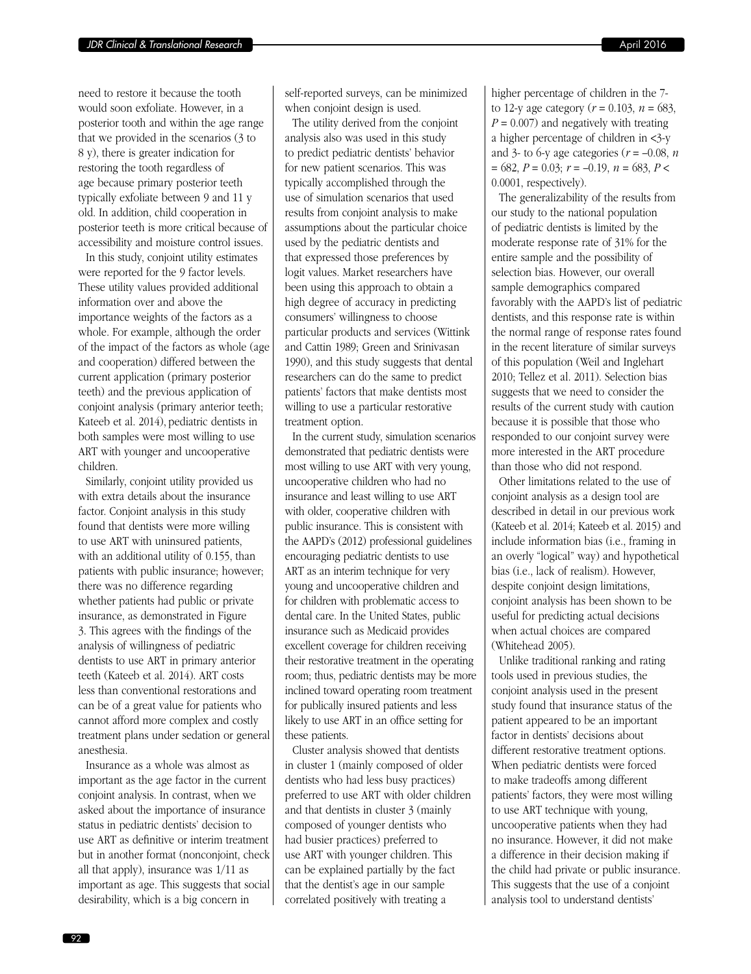need to restore it because the tooth would soon exfoliate. However, in a posterior tooth and within the age range that we provided in the scenarios (3 to 8 y), there is greater indication for restoring the tooth regardless of age because primary posterior teeth typically exfoliate between 9 and 11 y old. In addition, child cooperation in posterior teeth is more critical because of accessibility and moisture control issues.

In this study, conjoint utility estimates were reported for the 9 factor levels. These utility values provided additional information over and above the importance weights of the factors as a whole. For example, although the order of the impact of the factors as whole (age and cooperation) differed between the current application (primary posterior teeth) and the previous application of conjoint analysis (primary anterior teeth; Kateeb et al. 2014), pediatric dentists in both samples were most willing to use ART with younger and uncooperative children.

Similarly, conjoint utility provided us with extra details about the insurance factor. Conjoint analysis in this study found that dentists were more willing to use ART with uninsured patients, with an additional utility of 0.155, than patients with public insurance; however; there was no difference regarding whether patients had public or private insurance, as demonstrated in Figure 3. This agrees with the findings of the analysis of willingness of pediatric dentists to use ART in primary anterior teeth (Kateeb et al. 2014). ART costs less than conventional restorations and can be of a great value for patients who cannot afford more complex and costly treatment plans under sedation or general anesthesia.

Insurance as a whole was almost as important as the age factor in the current conjoint analysis. In contrast, when we asked about the importance of insurance status in pediatric dentists' decision to use ART as definitive or interim treatment but in another format (nonconjoint, check all that apply), insurance was 1/11 as important as age. This suggests that social desirability, which is a big concern in

self-reported surveys, can be minimized when conjoint design is used.

The utility derived from the conjoint analysis also was used in this study to predict pediatric dentists' behavior for new patient scenarios. This was typically accomplished through the use of simulation scenarios that used results from conjoint analysis to make assumptions about the particular choice used by the pediatric dentists and that expressed those preferences by logit values. Market researchers have been using this approach to obtain a high degree of accuracy in predicting consumers' willingness to choose particular products and services (Wittink and Cattin 1989; Green and Srinivasan 1990), and this study suggests that dental researchers can do the same to predict patients' factors that make dentists most willing to use a particular restorative treatment option.

In the current study, simulation scenarios demonstrated that pediatric dentists were most willing to use ART with very young, uncooperative children who had no insurance and least willing to use ART with older, cooperative children with public insurance. This is consistent with the AAPD's (2012) professional guidelines encouraging pediatric dentists to use ART as an interim technique for very young and uncooperative children and for children with problematic access to dental care. In the United States, public insurance such as Medicaid provides excellent coverage for children receiving their restorative treatment in the operating room; thus, pediatric dentists may be more inclined toward operating room treatment for publically insured patients and less likely to use ART in an office setting for these patients.

Cluster analysis showed that dentists in cluster 1 (mainly composed of older dentists who had less busy practices) preferred to use ART with older children and that dentists in cluster 3 (mainly composed of younger dentists who had busier practices) preferred to use ART with younger children. This can be explained partially by the fact that the dentist's age in our sample correlated positively with treating a

higher percentage of children in the 7 to 12-y age category ( $r = 0.103$ ,  $n = 683$ ,  $P = 0.007$ ) and negatively with treating a higher percentage of children in <3-y and 3- to 6-y age categories ( $r = -0.08$ ,  $n = 0.08$ ) = 682, *P* = 0.03; *r* = –0.19, *n* = 683, *P* < 0.0001, respectively).

The generalizability of the results from our study to the national population of pediatric dentists is limited by the moderate response rate of 31% for the entire sample and the possibility of selection bias. However, our overall sample demographics compared favorably with the AAPD's list of pediatric dentists, and this response rate is within the normal range of response rates found in the recent literature of similar surveys of this population (Weil and Inglehart 2010; Tellez et al. 2011). Selection bias suggests that we need to consider the results of the current study with caution because it is possible that those who responded to our conjoint survey were more interested in the ART procedure than those who did not respond.

Other limitations related to the use of conjoint analysis as a design tool are described in detail in our previous work (Kateeb et al. 2014; Kateeb et al. 2015) and include information bias (i.e., framing in an overly "logical" way) and hypothetical bias (i.e., lack of realism). However, despite conjoint design limitations, conjoint analysis has been shown to be useful for predicting actual decisions when actual choices are compared (Whitehead 2005).

Unlike traditional ranking and rating tools used in previous studies, the conjoint analysis used in the present study found that insurance status of the patient appeared to be an important factor in dentists' decisions about different restorative treatment options. When pediatric dentists were forced to make tradeoffs among different patients' factors, they were most willing to use ART technique with young, uncooperative patients when they had no insurance. However, it did not make a difference in their decision making if the child had private or public insurance. This suggests that the use of a conjoint analysis tool to understand dentists'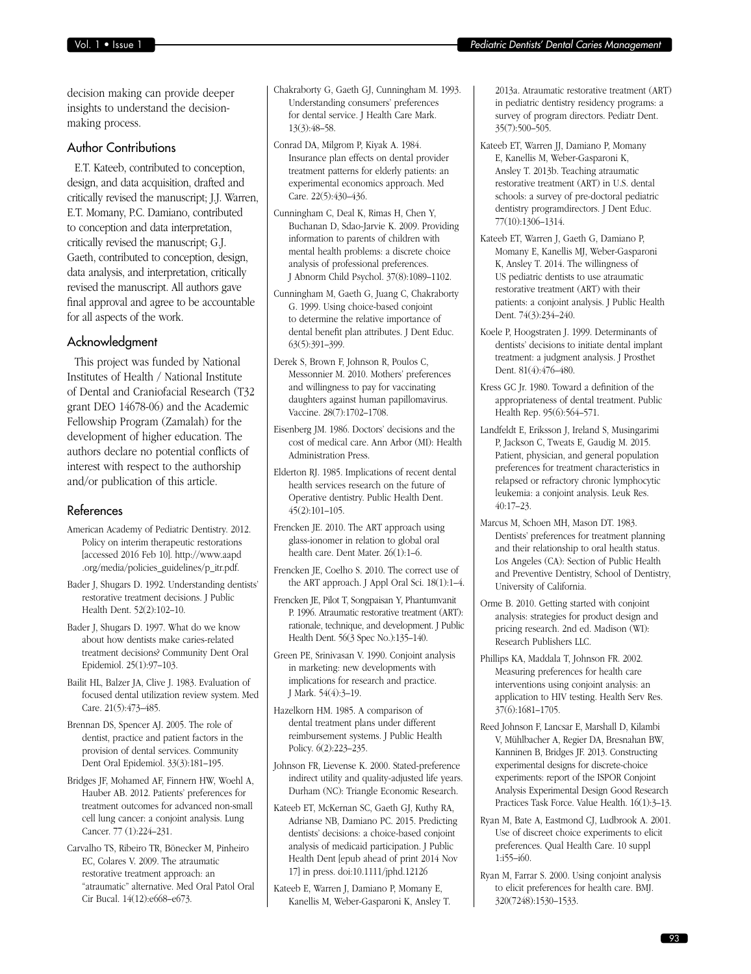decision making can provide deeper insights to understand the decisionmaking process.

# Author Contributions

E.T. Kateeb, contributed to conception, design, and data acquisition, drafted and critically revised the manuscript; J.J. Warren, E.T. Momany, P.C. Damiano, contributed to conception and data interpretation, critically revised the manuscript; G.J. Gaeth, contributed to conception, design, data analysis, and interpretation, critically revised the manuscript. All authors gave final approval and agree to be accountable for all aspects of the work.

# Acknowledgment

This project was funded by National Institutes of Health / National Institute of Dental and Craniofacial Research (T32 grant DEO 14678-06) and the Academic Fellowship Program (Zamalah) for the development of higher education. The authors declare no potential conflicts of interest with respect to the authorship and/or publication of this article.

#### References

American Academy of Pediatric Dentistry. 2012. Policy on interim therapeutic restorations [\[accessed 2016 Feb 10\]. http://www.aapd](http://www.aapd.org/media/policies_guidelines/p_itr.pdf) .org/media/policies\_guidelines/p\_itr.pdf.

Bader J, Shugars D. 1992. Understanding dentists' restorative treatment decisions. J Public Health Dent. 52(2):102–10.

Bader J, Shugars D. 1997. What do we know about how dentists make caries-related treatment decisions? Community Dent Oral Epidemiol. 25(1):97–103.

Bailit HL, Balzer JA, Clive J. 1983. Evaluation of focused dental utilization review system. Med Care. 21(5):473–485.

Brennan DS, Spencer AJ. 2005. The role of dentist, practice and patient factors in the provision of dental services. Community Dent Oral Epidemiol. 33(3):181–195.

Bridges JF, Mohamed AF, Finnern HW, Woehl A, Hauber AB. 2012. Patients' preferences for treatment outcomes for advanced non-small cell lung cancer: a conjoint analysis. Lung Cancer. 77 (1):224–231.

Carvalho TS, Ribeiro TR, Bönecker M, Pinheiro EC, Colares V. 2009. The atraumatic restorative treatment approach: an "atraumatic" alternative. Med Oral Patol Oral Cir Bucal. 14(12):e668–e673.

Chakraborty G, Gaeth GJ, Cunningham M. 1993. Understanding consumers' preferences for dental service. J Health Care Mark. 13(3):48–58.

Conrad DA, Milgrom P, Kiyak A. 1984. Insurance plan effects on dental provider treatment patterns for elderly patients: an experimental economics approach. Med Care. 22(5):430–436.

Cunningham C, Deal K, Rimas H, Chen Y, Buchanan D, Sdao-Jarvie K. 2009. Providing information to parents of children with mental health problems: a discrete choice analysis of professional preferences. J Abnorm Child Psychol. 37(8):1089–1102.

Cunningham M, Gaeth G, Juang C, Chakraborty G. 1999. Using choice-based conjoint to determine the relative importance of dental benefit plan attributes. J Dent Educ. 63(5):391–399.

Derek S, Brown F, Johnson R, Poulos C, Messonnier M. 2010. Mothers' preferences and willingness to pay for vaccinating daughters against human papillomavirus. Vaccine. 28(7):1702–1708.

Eisenberg JM. 1986. Doctors' decisions and the cost of medical care. Ann Arbor (MI): Health Administration Press.

Elderton RJ. 1985. Implications of recent dental health services research on the future of Operative dentistry. Public Health Dent. 45(2):101–105.

Frencken JE. 2010. The ART approach using glass-ionomer in relation to global oral health care. Dent Mater. 26(1):1–6.

Frencken JE, Coelho S. 2010. The correct use of the ART approach. J Appl Oral Sci. 18(1):1–4.

Frencken JE, Pilot T, Songpaisan Y, Phantumvanit P. 1996. Atraumatic restorative treatment (ART): rationale, technique, and development. J Public Health Dent. 56(3 Spec No.):135–140.

Green PE, Srinivasan V. 1990. Conjoint analysis in marketing: new developments with implications for research and practice. J Mark. 54(4):3–19.

Hazelkorn HM. 1985. A comparison of dental treatment plans under different reimbursement systems. J Public Health Policy. 6(2):223–235.

Johnson FR, Lievense K. 2000. Stated-preference indirect utility and quality-adjusted life years. Durham (NC): Triangle Economic Research.

Kateeb ET, McKernan SC, Gaeth GJ, Kuthy RA, Adrianse NB, Damiano PC. 2015. Predicting dentists' decisions: a choice-based conjoint analysis of medicaid participation. J Public Health Dent [epub ahead of print 2014 Nov 17] in press. doi:10.1111/jphd.12126

Kateeb E, Warren J, Damiano P, Momany E, Kanellis M, Weber-Gasparoni K, Ansley T. 2013a. Atraumatic restorative treatment (ART) in pediatric dentistry residency programs: a survey of program directors. Pediatr Dent. 35(7):500–505.

Kateeb ET, Warren JJ, Damiano P, Momany E, Kanellis M, Weber-Gasparoni K, Ansley T. 2013b. Teaching atraumatic restorative treatment (ART) in U.S. dental schools: a survey of pre-doctoral pediatric dentistry programdirectors. J Dent Educ. 77(10):1306–1314.

Kateeb ET, Warren J, Gaeth G, Damiano P, Momany E, Kanellis MJ, Weber-Gasparoni K, Ansley T. 2014. The willingness of US pediatric dentists to use atraumatic restorative treatment (ART) with their patients: a conjoint analysis. J Public Health Dent. 74(3):234–240.

- Koele P, Hoogstraten J. 1999. Determinants of dentists' decisions to initiate dental implant treatment: a judgment analysis. J Prosthet Dent. 81(4):476–480.
- Kress GC Jr. 1980. Toward a definition of the appropriateness of dental treatment. Public Health Rep. 95(6):564–571.
- Landfeldt E, Eriksson J, Ireland S, Musingarimi P, Jackson C, Tweats E, Gaudig M. 2015. Patient, physician, and general population preferences for treatment characteristics in relapsed or refractory chronic lymphocytic leukemia: a conjoint analysis. Leuk Res. 40:17–23.
- Marcus M, Schoen MH, Mason DT. 1983. Dentists' preferences for treatment planning and their relationship to oral health status. Los Angeles (CA): Section of Public Health and Preventive Dentistry, School of Dentistry, University of California.
- Orme B. 2010. Getting started with conjoint analysis: strategies for product design and pricing research. 2nd ed. Madison (WI): Research Publishers LLC.
- Phillips KA, Maddala T, Johnson FR. 2002. Measuring preferences for health care interventions using conjoint analysis: an application to HIV testing. Health Serv Res. 37(6):1681–1705.
- Reed Johnson F, Lancsar E, Marshall D, Kilambi V, Mühlbacher A, Regier DA, Bresnahan BW, Kanninen B, Bridges JF. 2013. Constructing experimental designs for discrete-choice experiments: report of the ISPOR Conjoint Analysis Experimental Design Good Research Practices Task Force. Value Health. 16(1):3–13.
- Ryan M, Bate A, Eastmond CJ, Ludbrook A. 2001. Use of discreet choice experiments to elicit preferences. Qual Health Care. 10 suppl 1:i55–i60.
- Ryan M, Farrar S. 2000. Using conjoint analysis to elicit preferences for health care. BMJ. 320(7248):1530–1533.